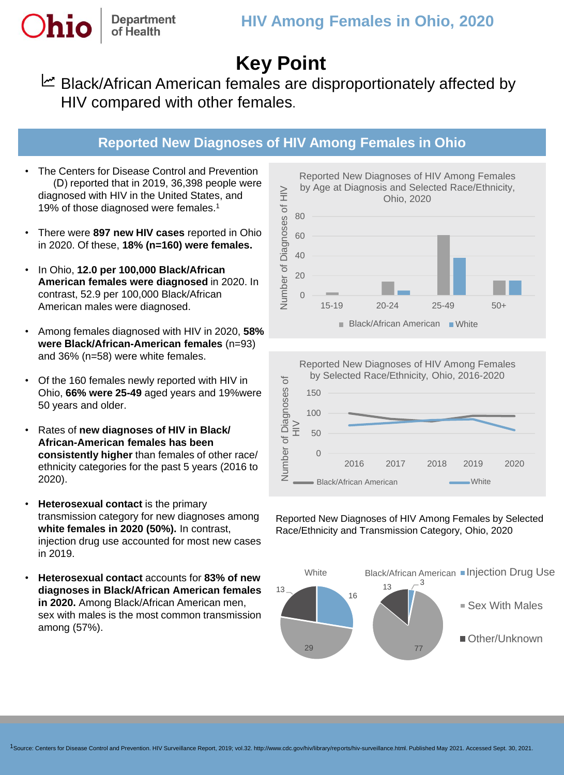# **Key Point**

Black/African American females are disproportionately affected by HIV compared with other females.

### **Reported New Diagnoses of HIV Among Females in Ohio**

• The Centers for Disease Control and Prevention (D) reported that in 2019, 36,398 people were diagnosed with HIV in the United States, and 19% of those diagnosed were females.<sup>1</sup>

**Department** of Health

- There were **897 new HIV cases** reported in Ohio in 2020. Of these, **18% (n=160) were females.**
- In Ohio, **12.0 per 100,000 Black/African American females were diagnosed** in 2020. In contrast, 52.9 per 100,000 Black/African American males were diagnosed.
- Among females diagnosed with HIV in 2020, **58% were Black/African-American females** (n=93) and 36% (n=58) were white females.
- Of the 160 females newly reported with HIV in Ohio, **66% were 25-49** aged years and 19%were 50 years and older.
- Rates of **new diagnoses of HIV in Black/ African-American females has been consistently higher** than females of other race/ ethnicity categories for the past 5 years (2016 to 2020).
- **Heterosexual contact** is the primary transmission category for new diagnoses among **white females in 2020 (50%).** In contrast, injection drug use accounted for most new cases in 2019.
- **Heterosexual contact** accounts for **83% of new diagnoses in Black/African American females in 2020.** Among Black/African American men, sex with males is the most common transmission among (57%).





Reported New Diagnoses of HIV Among Females by Selected Race/Ethnicity and Transmission Category, Ohio, 2020



Reported New Diagnoses of HIV Among Females